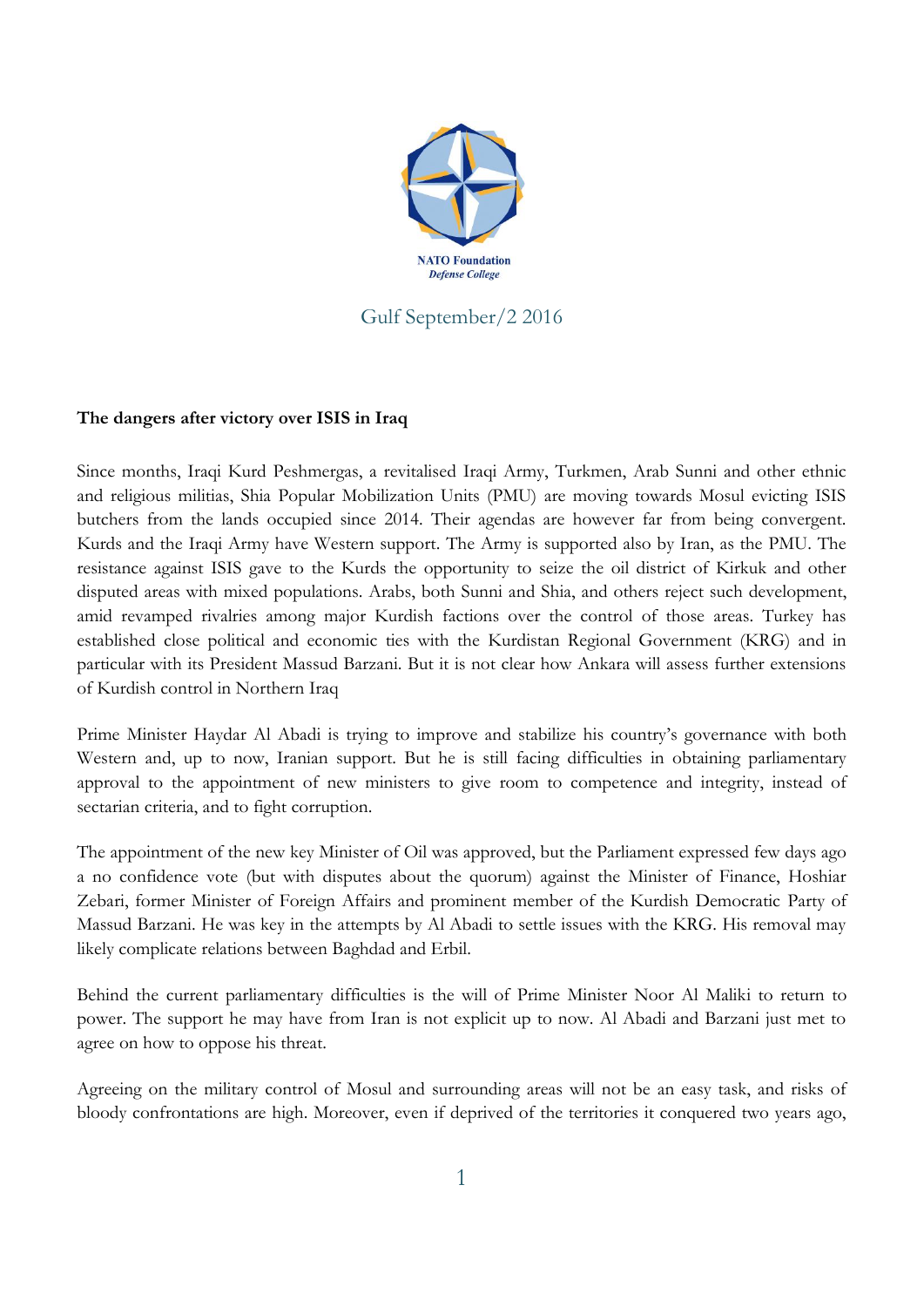

## Gulf September/2 2016

## **The dangers after victory over ISIS in Iraq**

Since months, Iraqi Kurd Peshmergas, a revitalised Iraqi Army, Turkmen, Arab Sunni and other ethnic and religious militias, Shia Popular Mobilization Units (PMU) are moving towards Mosul evicting ISIS butchers from the lands occupied since 2014. Their agendas are however far from being convergent. Kurds and the Iraqi Army have Western support. The Army is supported also by Iran, as the PMU. The resistance against ISIS gave to the Kurds the opportunity to seize the oil district of Kirkuk and other disputed areas with mixed populations. Arabs, both Sunni and Shia, and others reject such development, amid revamped rivalries among major Kurdish factions over the control of those areas. Turkey has established close political and economic ties with the Kurdistan Regional Government (KRG) and in particular with its President Massud Barzani. But it is not clear how Ankara will assess further extensions of Kurdish control in Northern Iraq

Prime Minister Haydar Al Abadi is trying to improve and stabilize his country's governance with both Western and, up to now, Iranian support. But he is still facing difficulties in obtaining parliamentary approval to the appointment of new ministers to give room to competence and integrity, instead of sectarian criteria, and to fight corruption.

The appointment of the new key Minister of Oil was approved, but the Parliament expressed few days ago a no confidence vote (but with disputes about the quorum) against the Minister of Finance, Hoshiar Zebari, former Minister of Foreign Affairs and prominent member of the Kurdish Democratic Party of Massud Barzani. He was key in the attempts by Al Abadi to settle issues with the KRG. His removal may likely complicate relations between Baghdad and Erbil.

Behind the current parliamentary difficulties is the will of Prime Minister Noor Al Maliki to return to power. The support he may have from Iran is not explicit up to now. Al Abadi and Barzani just met to agree on how to oppose his threat.

Agreeing on the military control of Mosul and surrounding areas will not be an easy task, and risks of bloody confrontations are high. Moreover, even if deprived of the territories it conquered two years ago,